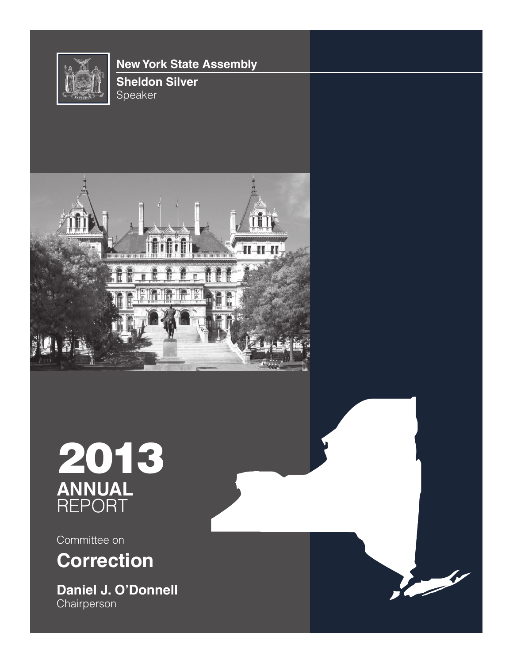

# **New York State Assembly**







Committee on **Correction**

**Daniel J. O'Donnell Chairperson** 

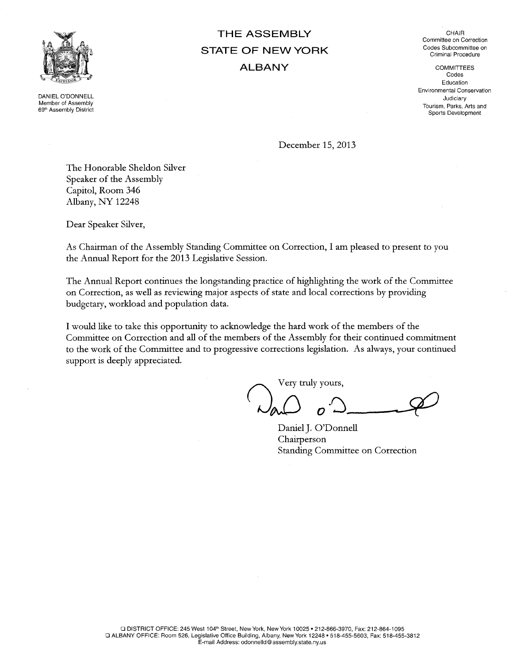

DANIEL O'DONNELL Member of Assembly 69<sup>th</sup> Assembly District

# THE ASSEMBLY **STATE OF NEW YORK ALBANY**

CHAIR Committee on Correction Codes Subcommittee on Criminal Procedure

**COMMITTEES** Codes Education Environmental Conservation Judiciarv Tourism, Parks, Arts and Sports Development

December 15, 2013

The Honorable Sheldon Silver Speaker of the Assembly Capitol, Room 346 Albany, NY 12248

Dear Speaker Silver,

As Chairman of the Assembly Standing Committee on Correction, I am pleased to present to you the Annual Report for the 2013 Legislative Session.

The Annual Report continues the longstanding practice of highlighting the work of the Committee on Correction, as well as reviewing major aspects of state and local corrections by providing budgetary, workload and population data.

I would like to take this opportunity to acknowledge the hard work of the members of the Committee on Correction and all of the members of the Assembly for their continued commitment to the work of the Committee and to progressive corrections legislation. As always, your continued support is deeply appreciated.

Very truly yours,

Daniel J. O'Donnell Chairperson Standing Committee on Correction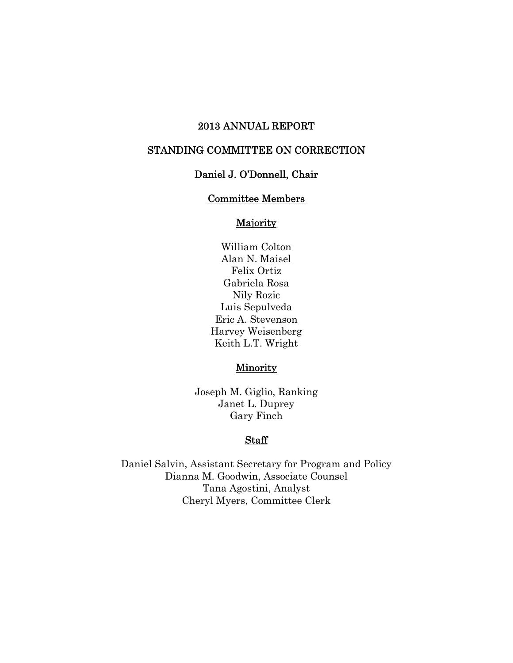# 2013 ANNUAL REPORT

# STANDING COMMITTEE ON CORRECTION

# Daniel J. O'Donnell, Chair

### Committee Members

# **Majority**

William Colton Alan N. Maisel Felix Ortiz Gabriela Rosa Nily Rozic Luis Sepulveda Eric A. Stevenson Harvey Weisenberg Keith L.T. Wright

#### **Minority**

Joseph M. Giglio, Ranking Janet L. Duprey Gary Finch

### **Staff**

Daniel Salvin, Assistant Secretary for Program and Policy Dianna M. Goodwin, Associate Counsel Tana Agostini, Analyst Cheryl Myers, Committee Clerk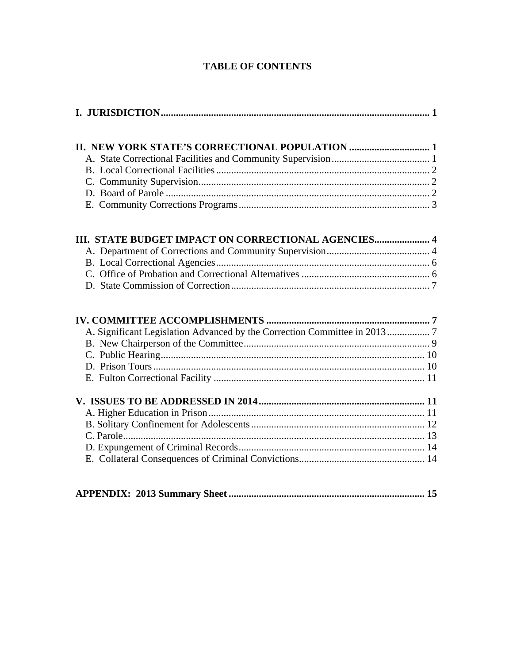# **TABLE OF CONTENTS**

| III. STATE BUDGET IMPACT ON CORRECTIONAL AGENCIES 4                      |  |
|--------------------------------------------------------------------------|--|
|                                                                          |  |
|                                                                          |  |
|                                                                          |  |
|                                                                          |  |
|                                                                          |  |
| A. Significant Legislation Advanced by the Correction Committee in 20137 |  |
|                                                                          |  |
|                                                                          |  |
|                                                                          |  |
|                                                                          |  |
|                                                                          |  |
|                                                                          |  |
|                                                                          |  |
|                                                                          |  |
|                                                                          |  |
|                                                                          |  |
|                                                                          |  |

|--|--|--|--|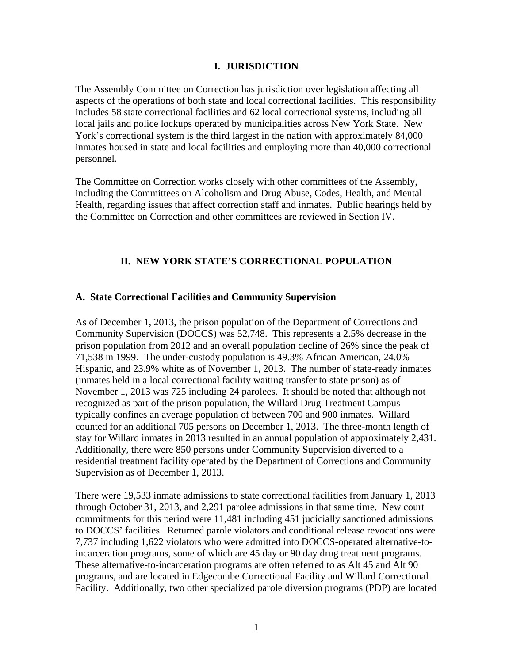### **I. JURISDICTION**

The Assembly Committee on Correction has jurisdiction over legislation affecting all aspects of the operations of both state and local correctional facilities. This responsibility includes 58 state correctional facilities and 62 local correctional systems, including all local jails and police lockups operated by municipalities across New York State. New York's correctional system is the third largest in the nation with approximately 84,000 inmates housed in state and local facilities and employing more than 40,000 correctional personnel.

The Committee on Correction works closely with other committees of the Assembly, including the Committees on Alcoholism and Drug Abuse, Codes, Health, and Mental Health, regarding issues that affect correction staff and inmates. Public hearings held by the Committee on Correction and other committees are reviewed in Section IV.

### **II. NEW YORK STATE'S CORRECTIONAL POPULATION**

### **A. State Correctional Facilities and Community Supervision**

As of December 1, 2013, the prison population of the Department of Corrections and Community Supervision (DOCCS) was 52,748. This represents a 2.5% decrease in the prison population from 2012 and an overall population decline of 26% since the peak of 71,538 in 1999. The under-custody population is 49.3% African American, 24.0% Hispanic, and 23.9% white as of November 1, 2013. The number of state-ready inmates (inmates held in a local correctional facility waiting transfer to state prison) as of November 1, 2013 was 725 including 24 parolees. It should be noted that although not recognized as part of the prison population, the Willard Drug Treatment Campus typically confines an average population of between 700 and 900 inmates. Willard counted for an additional 705 persons on December 1, 2013. The three-month length of stay for Willard inmates in 2013 resulted in an annual population of approximately 2,431. Additionally, there were 850 persons under Community Supervision diverted to a residential treatment facility operated by the Department of Corrections and Community Supervision as of December 1, 2013.

There were 19,533 inmate admissions to state correctional facilities from January 1, 2013 through October 31, 2013, and 2,291 parolee admissions in that same time. New court commitments for this period were 11,481 including 451 judicially sanctioned admissions to DOCCS' facilities. Returned parole violators and conditional release revocations were 7,737 including 1,622 violators who were admitted into DOCCS-operated alternative-toincarceration programs, some of which are 45 day or 90 day drug treatment programs. These alternative-to-incarceration programs are often referred to as Alt 45 and Alt 90 programs, and are located in Edgecombe Correctional Facility and Willard Correctional Facility. Additionally, two other specialized parole diversion programs (PDP) are located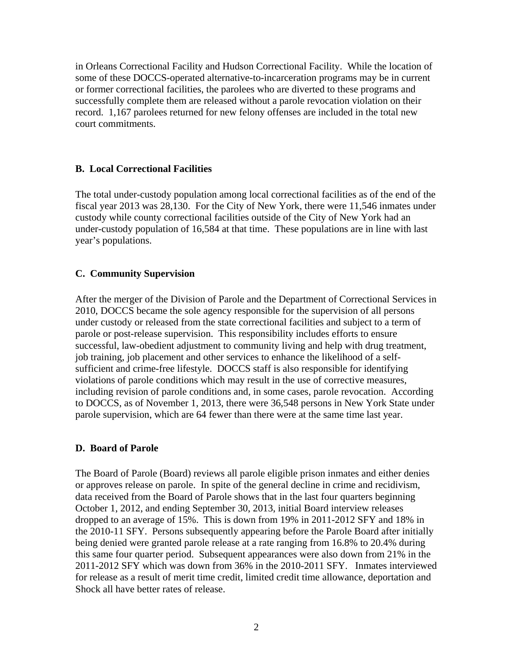in Orleans Correctional Facility and Hudson Correctional Facility. While the location of some of these DOCCS-operated alternative-to-incarceration programs may be in current or former correctional facilities, the parolees who are diverted to these programs and successfully complete them are released without a parole revocation violation on their record. 1,167 parolees returned for new felony offenses are included in the total new court commitments.

#### **B. Local Correctional Facilities**

The total under-custody population among local correctional facilities as of the end of the fiscal year 2013 was 28,130. For the City of New York, there were 11,546 inmates under custody while county correctional facilities outside of the City of New York had an under-custody population of 16,584 at that time. These populations are in line with last year's populations.

#### **C. Community Supervision**

After the merger of the Division of Parole and the Department of Correctional Services in 2010, DOCCS became the sole agency responsible for the supervision of all persons under custody or released from the state correctional facilities and subject to a term of parole or post-release supervision. This responsibility includes efforts to ensure successful, law-obedient adjustment to community living and help with drug treatment, job training, job placement and other services to enhance the likelihood of a selfsufficient and crime-free lifestyle. DOCCS staff is also responsible for identifying violations of parole conditions which may result in the use of corrective measures, including revision of parole conditions and, in some cases, parole revocation. According to DOCCS, as of November 1, 2013, there were 36,548 persons in New York State under parole supervision, which are 64 fewer than there were at the same time last year.

#### **D. Board of Parole**

The Board of Parole (Board) reviews all parole eligible prison inmates and either denies or approves release on parole. In spite of the general decline in crime and recidivism, data received from the Board of Parole shows that in the last four quarters beginning October 1, 2012, and ending September 30, 2013, initial Board interview releases dropped to an average of 15%. This is down from 19% in 2011-2012 SFY and 18% in the 2010-11 SFY. Persons subsequently appearing before the Parole Board after initially being denied were granted parole release at a rate ranging from 16.8% to 20.4% during this same four quarter period. Subsequent appearances were also down from 21% in the 2011-2012 SFY which was down from 36% in the 2010-2011 SFY. Inmates interviewed for release as a result of merit time credit, limited credit time allowance, deportation and Shock all have better rates of release.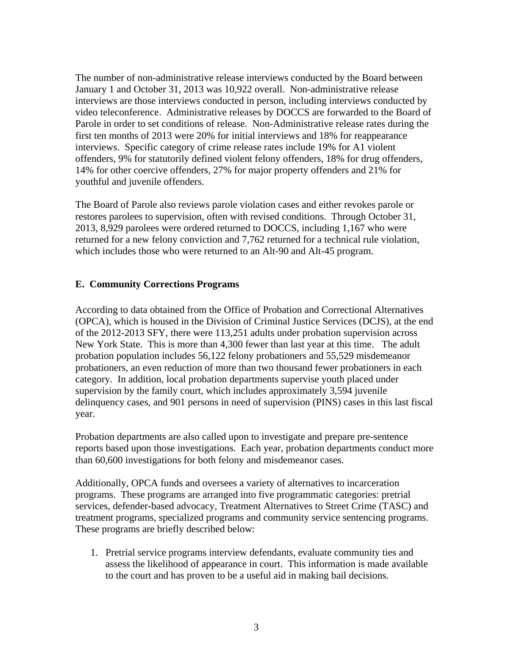The number of non-administrative release interviews conducted by the Board between January 1 and October 31, 2013 was 10,922 overall. Non-administrative release interviews are those interviews conducted in person, including interviews conducted by video teleconference. Administrative releases by DOCCS are forwarded to the Board of Parole in order to set conditions of release. Non-Administrative release rates during the first ten months of 2013 were 20% for initial interviews and 18% for reappearance interviews. Specific category of crime release rates include 19% for A1 violent offenders, 9% for statutorily defined violent felony offenders, 18% for drug offenders, 14% for other coercive offenders, 27% for major property offenders and 21% for youthful and juvenile offenders.

The Board of Parole also reviews parole violation cases and either revokes parole or restores parolees to supervision, often with revised conditions. Through October 31, 2013, 8,929 parolees were ordered returned to DOCCS, including 1,167 who were returned for a new felony conviction and 7,762 returned for a technical rule violation, which includes those who were returned to an Alt-90 and Alt-45 program.

### **E. Community Corrections Programs**

According to data obtained from the Office of Probation and Correctional Alternatives (OPCA), which is housed in the Division of Criminal Justice Services (DCJS), at the end of the 2012-2013 SFY, there were 113,251 adults under probation supervision across New York State. This is more than 4,300 fewer than last year at this time. The adult probation population includes 56,122 felony probationers and 55,529 misdemeanor probationers, an even reduction of more than two thousand fewer probationers in each category. In addition, local probation departments supervise youth placed under supervision by the family court, which includes approximately 3,594 juvenile delinquency cases, and 901 persons in need of supervision (PINS) cases in this last fiscal year.

Probation departments are also called upon to investigate and prepare pre-sentence reports based upon those investigations. Each year, probation departments conduct more than 60,600 investigations for both felony and misdemeanor cases.

Additionally, OPCA funds and oversees a variety of alternatives to incarceration programs. These programs are arranged into five programmatic categories: pretrial services, defender-based advocacy, Treatment Alternatives to Street Crime (TASC) and treatment programs, specialized programs and community service sentencing programs. These programs are briefly described below:

1. Pretrial service programs interview defendants, evaluate community ties and assess the likelihood of appearance in court. This information is made available to the court and has proven to be a useful aid in making bail decisions.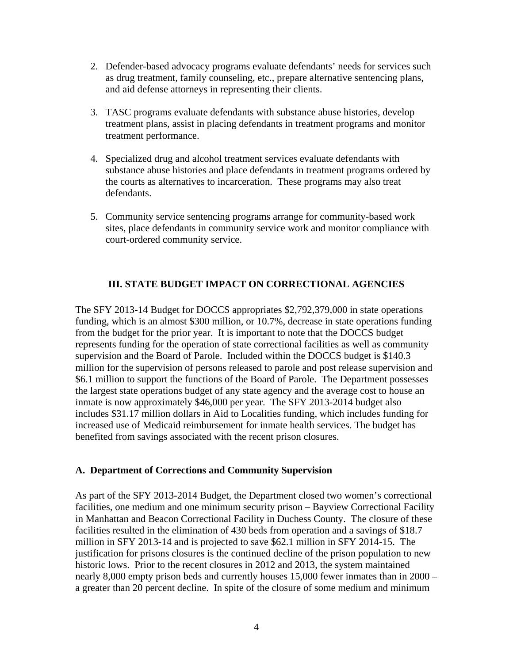- 2. Defender-based advocacy programs evaluate defendants' needs for services such as drug treatment, family counseling, etc., prepare alternative sentencing plans, and aid defense attorneys in representing their clients.
- 3. TASC programs evaluate defendants with substance abuse histories, develop treatment plans, assist in placing defendants in treatment programs and monitor treatment performance.
- 4. Specialized drug and alcohol treatment services evaluate defendants with substance abuse histories and place defendants in treatment programs ordered by the courts as alternatives to incarceration. These programs may also treat defendants.
- 5. Community service sentencing programs arrange for community-based work sites, place defendants in community service work and monitor compliance with court-ordered community service.

### **III. STATE BUDGET IMPACT ON CORRECTIONAL AGENCIES**

The SFY 2013-14 Budget for DOCCS appropriates \$2,792,379,000 in state operations funding, which is an almost \$300 million, or 10.7%, decrease in state operations funding from the budget for the prior year. It is important to note that the DOCCS budget represents funding for the operation of state correctional facilities as well as community supervision and the Board of Parole. Included within the DOCCS budget is \$140.3 million for the supervision of persons released to parole and post release supervision and \$6.1 million to support the functions of the Board of Parole. The Department possesses the largest state operations budget of any state agency and the average cost to house an inmate is now approximately \$46,000 per year. The SFY 2013-2014 budget also includes \$31.17 million dollars in Aid to Localities funding, which includes funding for increased use of Medicaid reimbursement for inmate health services. The budget has benefited from savings associated with the recent prison closures.

### **A. Department of Corrections and Community Supervision**

As part of the SFY 2013-2014 Budget, the Department closed two women's correctional facilities, one medium and one minimum security prison – Bayview Correctional Facility in Manhattan and Beacon Correctional Facility in Duchess County. The closure of these facilities resulted in the elimination of 430 beds from operation and a savings of \$18.7 million in SFY 2013-14 and is projected to save \$62.1 million in SFY 2014-15. The justification for prisons closures is the continued decline of the prison population to new historic lows. Prior to the recent closures in 2012 and 2013, the system maintained nearly 8,000 empty prison beds and currently houses 15,000 fewer inmates than in 2000 – a greater than 20 percent decline. In spite of the closure of some medium and minimum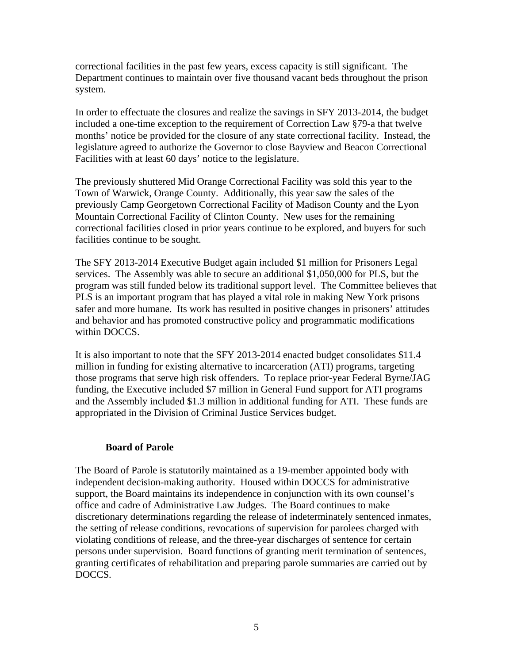correctional facilities in the past few years, excess capacity is still significant. The Department continues to maintain over five thousand vacant beds throughout the prison system.

In order to effectuate the closures and realize the savings in SFY 2013-2014, the budget included a one-time exception to the requirement of Correction Law §79-a that twelve months' notice be provided for the closure of any state correctional facility. Instead, the legislature agreed to authorize the Governor to close Bayview and Beacon Correctional Facilities with at least 60 days' notice to the legislature.

The previously shuttered Mid Orange Correctional Facility was sold this year to the Town of Warwick, Orange County. Additionally, this year saw the sales of the previously Camp Georgetown Correctional Facility of Madison County and the Lyon Mountain Correctional Facility of Clinton County. New uses for the remaining correctional facilities closed in prior years continue to be explored, and buyers for such facilities continue to be sought.

The SFY 2013-2014 Executive Budget again included \$1 million for Prisoners Legal services. The Assembly was able to secure an additional \$1,050,000 for PLS, but the program was still funded below its traditional support level. The Committee believes that PLS is an important program that has played a vital role in making New York prisons safer and more humane. Its work has resulted in positive changes in prisoners' attitudes and behavior and has promoted constructive policy and programmatic modifications within DOCCS.

It is also important to note that the SFY 2013-2014 enacted budget consolidates \$11.4 million in funding for existing alternative to incarceration (ATI) programs, targeting those programs that serve high risk offenders. To replace prior-year Federal Byrne/JAG funding, the Executive included \$7 million in General Fund support for ATI programs and the Assembly included \$1.3 million in additional funding for ATI. These funds are appropriated in the Division of Criminal Justice Services budget.

### **Board of Parole**

The Board of Parole is statutorily maintained as a 19-member appointed body with independent decision-making authority. Housed within DOCCS for administrative support, the Board maintains its independence in conjunction with its own counsel's office and cadre of Administrative Law Judges. The Board continues to make discretionary determinations regarding the release of indeterminately sentenced inmates, the setting of release conditions, revocations of supervision for parolees charged with violating conditions of release, and the three-year discharges of sentence for certain persons under supervision. Board functions of granting merit termination of sentences, granting certificates of rehabilitation and preparing parole summaries are carried out by DOCCS.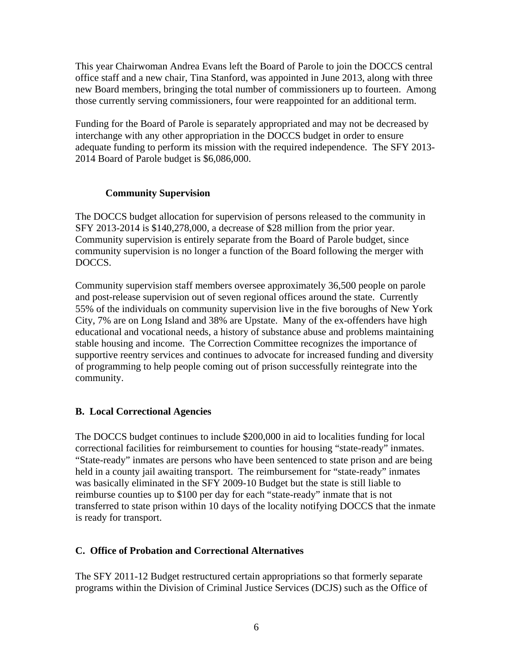This year Chairwoman Andrea Evans left the Board of Parole to join the DOCCS central office staff and a new chair, Tina Stanford, was appointed in June 2013, along with three new Board members, bringing the total number of commissioners up to fourteen. Among those currently serving commissioners, four were reappointed for an additional term.

Funding for the Board of Parole is separately appropriated and may not be decreased by interchange with any other appropriation in the DOCCS budget in order to ensure adequate funding to perform its mission with the required independence. The SFY 2013- 2014 Board of Parole budget is \$6,086,000.

# **Community Supervision**

The DOCCS budget allocation for supervision of persons released to the community in SFY 2013-2014 is \$140,278,000, a decrease of \$28 million from the prior year. Community supervision is entirely separate from the Board of Parole budget, since community supervision is no longer a function of the Board following the merger with DOCCS.

Community supervision staff members oversee approximately 36,500 people on parole and post-release supervision out of seven regional offices around the state. Currently 55% of the individuals on community supervision live in the five boroughs of New York City, 7% are on Long Island and 38% are Upstate. Many of the ex-offenders have high educational and vocational needs, a history of substance abuse and problems maintaining stable housing and income. The Correction Committee recognizes the importance of supportive reentry services and continues to advocate for increased funding and diversity of programming to help people coming out of prison successfully reintegrate into the community.

# **B. Local Correctional Agencies**

The DOCCS budget continues to include \$200,000 in aid to localities funding for local correctional facilities for reimbursement to counties for housing "state-ready" inmates. "State-ready" inmates are persons who have been sentenced to state prison and are being held in a county jail awaiting transport. The reimbursement for "state-ready" inmates was basically eliminated in the SFY 2009-10 Budget but the state is still liable to reimburse counties up to \$100 per day for each "state-ready" inmate that is not transferred to state prison within 10 days of the locality notifying DOCCS that the inmate is ready for transport.

# **C. Office of Probation and Correctional Alternatives**

The SFY 2011-12 Budget restructured certain appropriations so that formerly separate programs within the Division of Criminal Justice Services (DCJS) such as the Office of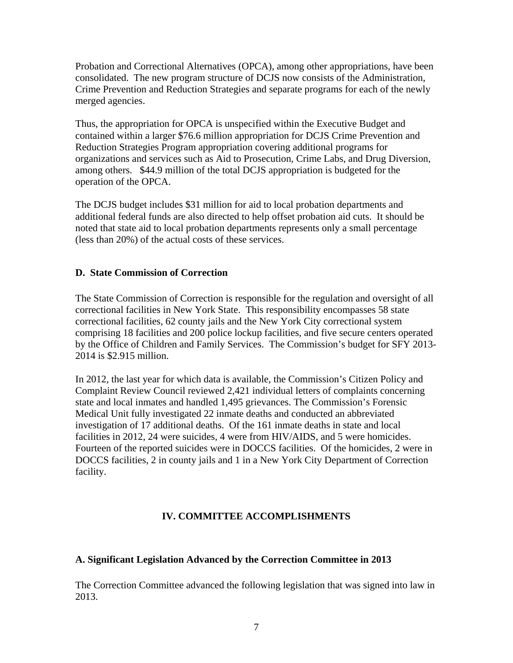Probation and Correctional Alternatives (OPCA), among other appropriations, have been consolidated. The new program structure of DCJS now consists of the Administration, Crime Prevention and Reduction Strategies and separate programs for each of the newly merged agencies.

Thus, the appropriation for OPCA is unspecified within the Executive Budget and contained within a larger \$76.6 million appropriation for DCJS Crime Prevention and Reduction Strategies Program appropriation covering additional programs for organizations and services such as Aid to Prosecution, Crime Labs, and Drug Diversion, among others. \$44.9 million of the total DCJS appropriation is budgeted for the operation of the OPCA.

The DCJS budget includes \$31 million for aid to local probation departments and additional federal funds are also directed to help offset probation aid cuts. It should be noted that state aid to local probation departments represents only a small percentage (less than 20%) of the actual costs of these services.

### **D. State Commission of Correction**

The State Commission of Correction is responsible for the regulation and oversight of all correctional facilities in New York State. This responsibility encompasses 58 state correctional facilities, 62 county jails and the New York City correctional system comprising 18 facilities and 200 police lockup facilities, and five secure centers operated by the Office of Children and Family Services. The Commission's budget for SFY 2013- 2014 is \$2.915 million.

In 2012, the last year for which data is available, the Commission's Citizen Policy and Complaint Review Council reviewed 2,421 individual letters of complaints concerning state and local inmates and handled 1,495 grievances. The Commission's Forensic Medical Unit fully investigated 22 inmate deaths and conducted an abbreviated investigation of 17 additional deaths. Of the 161 inmate deaths in state and local facilities in 2012, 24 were suicides, 4 were from HIV/AIDS, and 5 were homicides. Fourteen of the reported suicides were in DOCCS facilities. Of the homicides, 2 were in DOCCS facilities, 2 in county jails and 1 in a New York City Department of Correction facility.

# **IV. COMMITTEE ACCOMPLISHMENTS**

# **A. Significant Legislation Advanced by the Correction Committee in 2013**

The Correction Committee advanced the following legislation that was signed into law in 2013.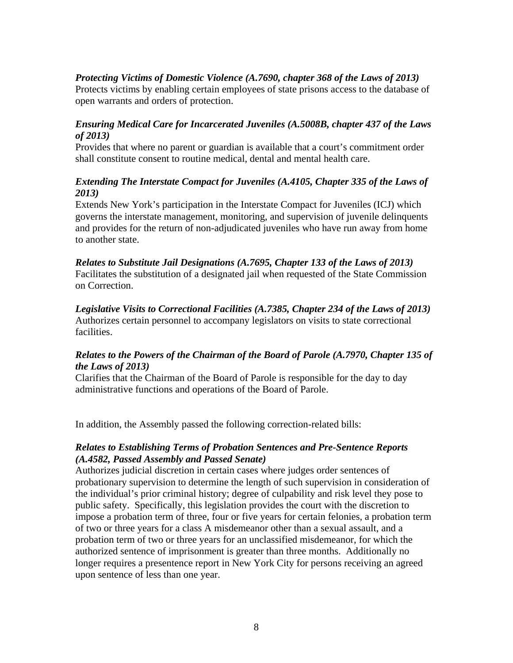# *Protecting Victims of Domestic Violence (A.7690, chapter 368 of the Laws of 2013)*

Protects victims by enabling certain employees of state prisons access to the database of open warrants and orders of protection.

# *Ensuring Medical Care for Incarcerated Juveniles (A.5008B, chapter 437 of the Laws of 2013)*

Provides that where no parent or guardian is available that a court's commitment order shall constitute consent to routine medical, dental and mental health care.

# *Extending The Interstate Compact for Juveniles (A.4105, Chapter 335 of the Laws of 2013)*

Extends New York's participation in the Interstate Compact for Juveniles (ICJ) which governs the interstate management, monitoring, and supervision of juvenile delinquents and provides for the return of non-adjudicated juveniles who have run away from home to another state.

*Relates to Substitute Jail Designations (A.7695, Chapter 133 of the Laws of 2013)*  Facilitates the substitution of a designated jail when requested of the State Commission on Correction.

*Legislative Visits to Correctional Facilities (A.7385, Chapter 234 of the Laws of 2013)*  Authorizes certain personnel to accompany legislators on visits to state correctional facilities.

# *Relates to the Powers of the Chairman of the Board of Parole (A.7970, Chapter 135 of the Laws of 2013)*

Clarifies that the Chairman of the Board of Parole is responsible for the day to day administrative functions and operations of the Board of Parole.

In addition, the Assembly passed the following correction-related bills:

### *Relates to Establishing Terms of Probation Sentences and Pre-Sentence Reports (A.4582, Passed Assembly and Passed Senate)*

Authorizes judicial discretion in certain cases where judges order sentences of probationary supervision to determine the length of such supervision in consideration of the individual's prior criminal history; degree of culpability and risk level they pose to public safety. Specifically, this legislation provides the court with the discretion to impose a probation term of three, four or five years for certain felonies, a probation term of two or three years for a class A misdemeanor other than a sexual assault, and a probation term of two or three years for an unclassified misdemeanor, for which the authorized sentence of imprisonment is greater than three months. Additionally no longer requires a presentence report in New York City for persons receiving an agreed upon sentence of less than one year.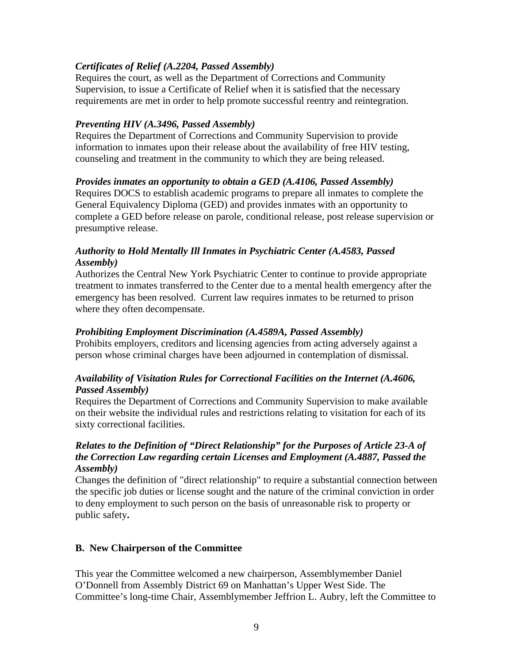# *Certificates of Relief (A.2204, Passed Assembly)*

Requires the court, as well as the Department of Corrections and Community Supervision, to issue a Certificate of Relief when it is satisfied that the necessary requirements are met in order to help promote successful reentry and reintegration.

# *Preventing HIV (A.3496, Passed Assembly)*

Requires the Department of Corrections and Community Supervision to provide information to inmates upon their release about the availability of free HIV testing, counseling and treatment in the community to which they are being released.

### *Provides inmates an opportunity to obtain a GED (A.4106, Passed Assembly)*

Requires DOCS to establish academic programs to prepare all inmates to complete the General Equivalency Diploma (GED) and provides inmates with an opportunity to complete a GED before release on parole, conditional release, post release supervision or presumptive release.

# *Authority to Hold Mentally Ill Inmates in Psychiatric Center (A.4583, Passed Assembly)*

Authorizes the Central New York Psychiatric Center to continue to provide appropriate treatment to inmates transferred to the Center due to a mental health emergency after the emergency has been resolved. Current law requires inmates to be returned to prison where they often decompensate.

### *Prohibiting Employment Discrimination (A.4589A, Passed Assembly)*

Prohibits employers, creditors and licensing agencies from acting adversely against a person whose criminal charges have been adjourned in contemplation of dismissal.

### *Availability of Visitation Rules for Correctional Facilities on the Internet (A.4606, Passed Assembly)*

Requires the Department of Corrections and Community Supervision to make available on their website the individual rules and restrictions relating to visitation for each of its sixty correctional facilities.

## *Relates to the Definition of "Direct Relationship" for the Purposes of Article 23-A of the Correction Law regarding certain Licenses and Employment (A.4887, Passed the Assembly)*

Changes the definition of "direct relationship" to require a substantial connection between the specific job duties or license sought and the nature of the criminal conviction in order to deny employment to such person on the basis of unreasonable risk to property or public safety**.** 

# **B. New Chairperson of the Committee**

This year the Committee welcomed a new chairperson, Assemblymember Daniel O'Donnell from Assembly District 69 on Manhattan's Upper West Side. The Committee's long-time Chair, Assemblymember Jeffrion L. Aubry, left the Committee to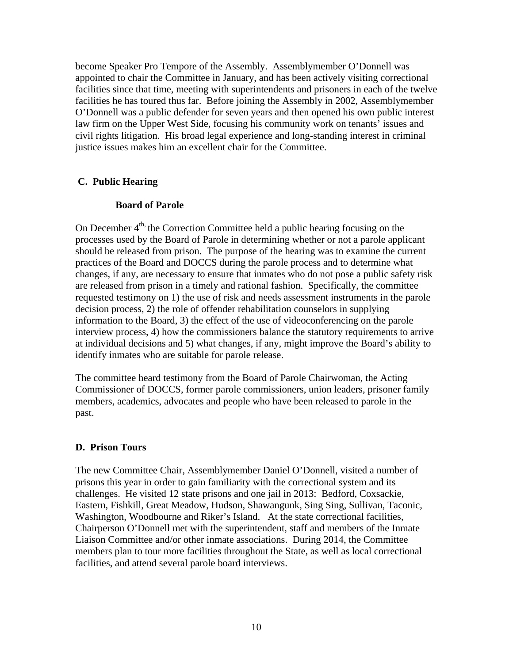become Speaker Pro Tempore of the Assembly. Assemblymember O'Donnell was appointed to chair the Committee in January, and has been actively visiting correctional facilities since that time, meeting with superintendents and prisoners in each of the twelve facilities he has toured thus far. Before joining the Assembly in 2002, Assemblymember O'Donnell was a public defender for seven years and then opened his own public interest law firm on the Upper West Side, focusing his community work on tenants' issues and civil rights litigation. His broad legal experience and long-standing interest in criminal justice issues makes him an excellent chair for the Committee.

# **C. Public Hearing**

### **Board of Parole**

On December  $4<sup>th</sup>$ , the Correction Committee held a public hearing focusing on the processes used by the Board of Parole in determining whether or not a parole applicant should be released from prison. The purpose of the hearing was to examine the current practices of the Board and DOCCS during the parole process and to determine what changes, if any, are necessary to ensure that inmates who do not pose a public safety risk are released from prison in a timely and rational fashion. Specifically, the committee requested testimony on 1) the use of risk and needs assessment instruments in the parole decision process, 2) the role of offender rehabilitation counselors in supplying information to the Board, 3) the effect of the use of videoconferencing on the parole interview process, 4) how the commissioners balance the statutory requirements to arrive at individual decisions and 5) what changes, if any, might improve the Board's ability to identify inmates who are suitable for parole release.

The committee heard testimony from the Board of Parole Chairwoman, the Acting Commissioner of DOCCS, former parole commissioners, union leaders, prisoner family members, academics, advocates and people who have been released to parole in the past.

### **D. Prison Tours**

The new Committee Chair, Assemblymember Daniel O'Donnell, visited a number of prisons this year in order to gain familiarity with the correctional system and its challenges. He visited 12 state prisons and one jail in 2013: Bedford, Coxsackie, Eastern, Fishkill, Great Meadow, Hudson, Shawangunk, Sing Sing, Sullivan, Taconic, Washington, Woodbourne and Riker's Island. At the state correctional facilities, Chairperson O'Donnell met with the superintendent, staff and members of the Inmate Liaison Committee and/or other inmate associations. During 2014, the Committee members plan to tour more facilities throughout the State, as well as local correctional facilities, and attend several parole board interviews.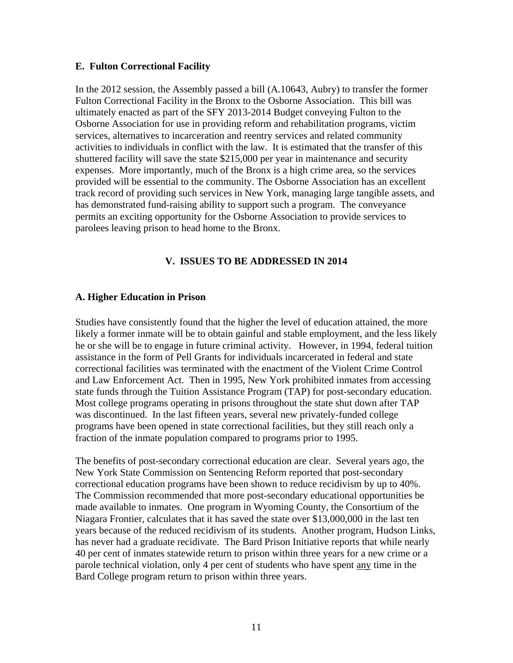#### **E. Fulton Correctional Facility**

In the 2012 session, the Assembly passed a bill (A.10643, Aubry) to transfer the former Fulton Correctional Facility in the Bronx to the Osborne Association. This bill was ultimately enacted as part of the SFY 2013-2014 Budget conveying Fulton to the Osborne Association for use in providing reform and rehabilitation programs, victim services, alternatives to incarceration and reentry services and related community activities to individuals in conflict with the law. It is estimated that the transfer of this shuttered facility will save the state \$215,000 per year in maintenance and security expenses. More importantly, much of the Bronx is a high crime area, so the services provided will be essential to the community. The Osborne Association has an excellent track record of providing such services in New York, managing large tangible assets, and has demonstrated fund-raising ability to support such a program. The conveyance permits an exciting opportunity for the Osborne Association to provide services to parolees leaving prison to head home to the Bronx.

### **V. ISSUES TO BE ADDRESSED IN 2014**

#### **A. Higher Education in Prison**

Studies have consistently found that the higher the level of education attained, the more likely a former inmate will be to obtain gainful and stable employment, and the less likely he or she will be to engage in future criminal activity. However, in 1994, federal tuition assistance in the form of Pell Grants for individuals incarcerated in federal and state correctional facilities was terminated with the enactment of the Violent Crime Control and Law Enforcement Act. Then in 1995, New York prohibited inmates from accessing state funds through the Tuition Assistance Program (TAP) for post-secondary education. Most college programs operating in prisons throughout the state shut down after TAP was discontinued. In the last fifteen years, several new privately-funded college programs have been opened in state correctional facilities, but they still reach only a fraction of the inmate population compared to programs prior to 1995.

The benefits of post-secondary correctional education are clear. Several years ago, the New York State Commission on Sentencing Reform reported that post-secondary correctional education programs have been shown to reduce recidivism by up to 40%. The Commission recommended that more post-secondary educational opportunities be made available to inmates. One program in Wyoming County, the Consortium of the Niagara Frontier, calculates that it has saved the state over \$13,000,000 in the last ten years because of the reduced recidivism of its students. Another program, Hudson Links, has never had a graduate recidivate. The Bard Prison Initiative reports that while nearly 40 per cent of inmates statewide return to prison within three years for a new crime or a parole technical violation, only 4 per cent of students who have spent any time in the Bard College program return to prison within three years.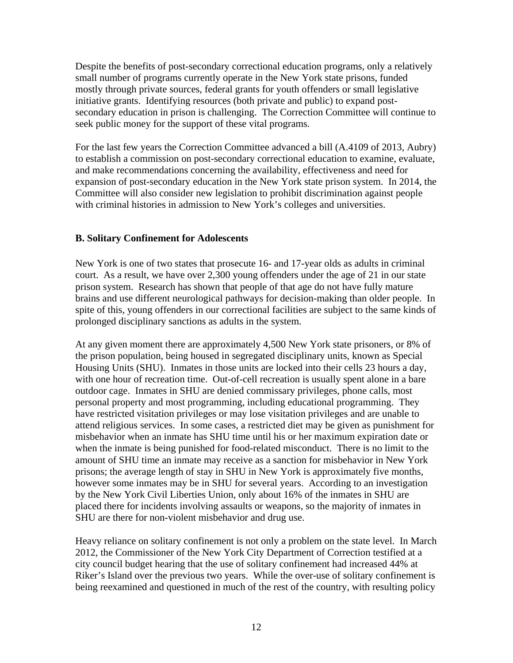Despite the benefits of post-secondary correctional education programs, only a relatively small number of programs currently operate in the New York state prisons, funded mostly through private sources, federal grants for youth offenders or small legislative initiative grants. Identifying resources (both private and public) to expand postsecondary education in prison is challenging. The Correction Committee will continue to seek public money for the support of these vital programs.

For the last few years the Correction Committee advanced a bill (A.4109 of 2013, Aubry) to establish a commission on post-secondary correctional education to examine, evaluate, and make recommendations concerning the availability, effectiveness and need for expansion of post-secondary education in the New York state prison system. In 2014, the Committee will also consider new legislation to prohibit discrimination against people with criminal histories in admission to New York's colleges and universities.

### **B. Solitary Confinement for Adolescents**

New York is one of two states that prosecute 16- and 17-year olds as adults in criminal court. As a result, we have over 2,300 young offenders under the age of 21 in our state prison system. Research has shown that people of that age do not have fully mature brains and use different neurological pathways for decision-making than older people. In spite of this, young offenders in our correctional facilities are subject to the same kinds of prolonged disciplinary sanctions as adults in the system.

At any given moment there are approximately 4,500 New York state prisoners, or 8% of the prison population, being housed in segregated disciplinary units, known as Special Housing Units (SHU). Inmates in those units are locked into their cells 23 hours a day, with one hour of recreation time. Out-of-cell recreation is usually spent alone in a bare outdoor cage. Inmates in SHU are denied commissary privileges, phone calls, most personal property and most programming, including educational programming. They have restricted visitation privileges or may lose visitation privileges and are unable to attend religious services. In some cases, a restricted diet may be given as punishment for misbehavior when an inmate has SHU time until his or her maximum expiration date or when the inmate is being punished for food-related misconduct. There is no limit to the amount of SHU time an inmate may receive as a sanction for misbehavior in New York prisons; the average length of stay in SHU in New York is approximately five months, however some inmates may be in SHU for several years. According to an investigation by the New York Civil Liberties Union, only about 16% of the inmates in SHU are placed there for incidents involving assaults or weapons, so the majority of inmates in SHU are there for non-violent misbehavior and drug use.

Heavy reliance on solitary confinement is not only a problem on the state level. In March 2012, the Commissioner of the New York City Department of Correction testified at a city council budget hearing that the use of solitary confinement had increased 44% at Riker's Island over the previous two years. While the over-use of solitary confinement is being reexamined and questioned in much of the rest of the country, with resulting policy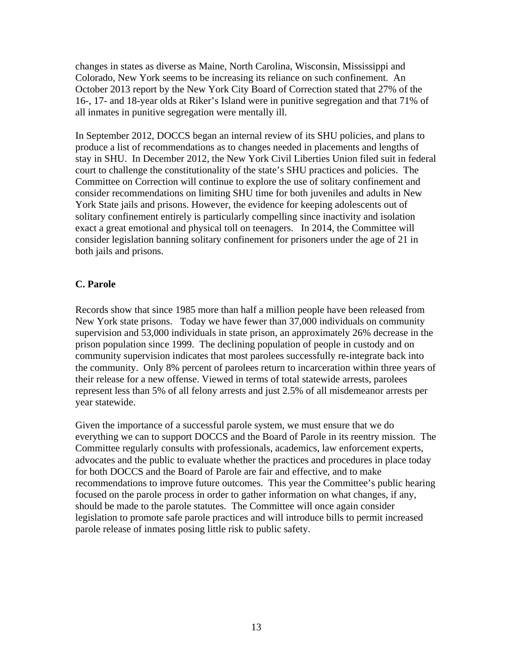changes in states as diverse as Maine, North Carolina, Wisconsin, Mississippi and Colorado, New York seems to be increasing its reliance on such confinement. An October 2013 report by the New York City Board of Correction stated that 27% of the 16-, 17- and 18-year olds at Riker's Island were in punitive segregation and that 71% of all inmates in punitive segregation were mentally ill.

In September 2012, DOCCS began an internal review of its SHU policies, and plans to produce a list of recommendations as to changes needed in placements and lengths of stay in SHU. In December 2012, the New York Civil Liberties Union filed suit in federal court to challenge the constitutionality of the state's SHU practices and policies. The Committee on Correction will continue to explore the use of solitary confinement and consider recommendations on limiting SHU time for both juveniles and adults in New York State jails and prisons. However, the evidence for keeping adolescents out of solitary confinement entirely is particularly compelling since inactivity and isolation exact a great emotional and physical toll on teenagers. In 2014, the Committee will consider legislation banning solitary confinement for prisoners under the age of 21 in both jails and prisons.

### **C. Parole**

Records show that since 1985 more than half a million people have been released from New York state prisons. Today we have fewer than 37,000 individuals on community supervision and 53,000 individuals in state prison, an approximately 26% decrease in the prison population since 1999. The declining population of people in custody and on community supervision indicates that most parolees successfully re-integrate back into the community. Only 8% percent of parolees return to incarceration within three years of their release for a new offense. Viewed in terms of total statewide arrests, parolees represent less than 5% of all felony arrests and just 2.5% of all misdemeanor arrests per year statewide.

Given the importance of a successful parole system, we must ensure that we do everything we can to support DOCCS and the Board of Parole in its reentry mission. The Committee regularly consults with professionals, academics, law enforcement experts, advocates and the public to evaluate whether the practices and procedures in place today for both DOCCS and the Board of Parole are fair and effective, and to make recommendations to improve future outcomes. This year the Committee's public hearing focused on the parole process in order to gather information on what changes, if any, should be made to the parole statutes. The Committee will once again consider legislation to promote safe parole practices and will introduce bills to permit increased parole release of inmates posing little risk to public safety.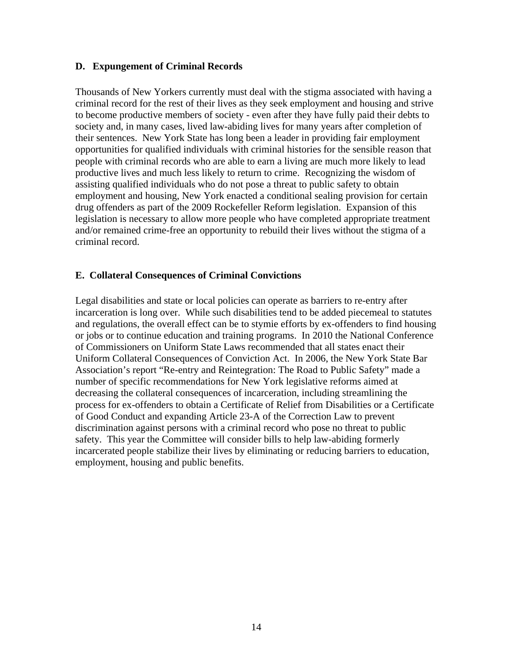### **D. Expungement of Criminal Records**

Thousands of New Yorkers currently must deal with the stigma associated with having a criminal record for the rest of their lives as they seek employment and housing and strive to become productive members of society - even after they have fully paid their debts to society and, in many cases, lived law-abiding lives for many years after completion of their sentences. New York State has long been a leader in providing fair employment opportunities for qualified individuals with criminal histories for the sensible reason that people with criminal records who are able to earn a living are much more likely to lead productive lives and much less likely to return to crime. Recognizing the wisdom of assisting qualified individuals who do not pose a threat to public safety to obtain employment and housing, New York enacted a conditional sealing provision for certain drug offenders as part of the 2009 Rockefeller Reform legislation. Expansion of this legislation is necessary to allow more people who have completed appropriate treatment and/or remained crime-free an opportunity to rebuild their lives without the stigma of a criminal record.

### **E. Collateral Consequences of Criminal Convictions**

Legal disabilities and state or local policies can operate as barriers to re-entry after incarceration is long over. While such disabilities tend to be added piecemeal to statutes and regulations, the overall effect can be to stymie efforts by ex-offenders to find housing or jobs or to continue education and training programs. In 2010 the National Conference of Commissioners on Uniform State Laws recommended that all states enact their Uniform Collateral Consequences of Conviction Act. In 2006, the New York State Bar Association's report "Re-entry and Reintegration: The Road to Public Safety" made a number of specific recommendations for New York legislative reforms aimed at decreasing the collateral consequences of incarceration, including streamlining the process for ex-offenders to obtain a Certificate of Relief from Disabilities or a Certificate of Good Conduct and expanding Article 23-A of the Correction Law to prevent discrimination against persons with a criminal record who pose no threat to public safety. This year the Committee will consider bills to help law-abiding formerly incarcerated people stabilize their lives by eliminating or reducing barriers to education, employment, housing and public benefits.